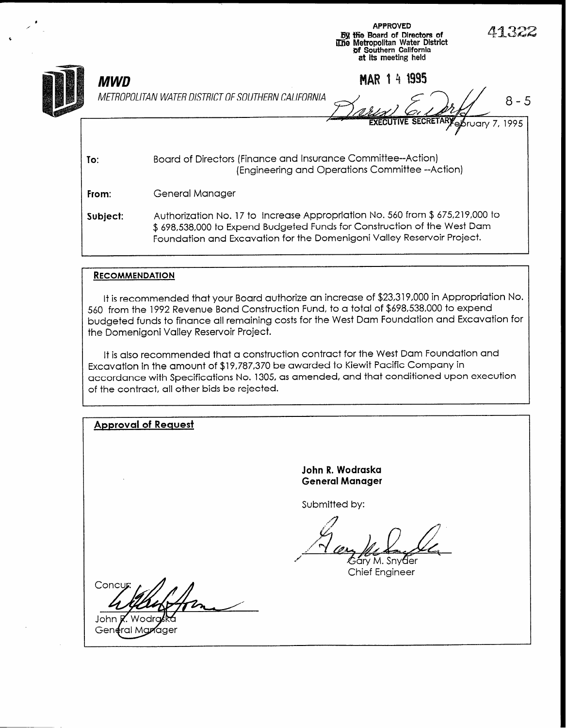|            | <b>APPROVED</b><br>41322<br><b>By the Board of Directors of</b><br>The Metropolitan Water District<br>of Southern California<br>at its meeting held                                                                                 |
|------------|-------------------------------------------------------------------------------------------------------------------------------------------------------------------------------------------------------------------------------------|
| <b>MWD</b> | MAR 1 4 1995                                                                                                                                                                                                                        |
|            | METROPOLITAN WATER DISTRICT OF SOUTHERN CALIFORNIA<br>8 - 5                                                                                                                                                                         |
|            | <b>EXECUTIVE SECRETARY ADruary 7,</b><br>1995                                                                                                                                                                                       |
| To:        | Board of Directors (Finance and Insurance Committee--Action)<br>(Engineering and Operations Committee --Action)                                                                                                                     |
| From:      | General Manager                                                                                                                                                                                                                     |
| Subject:   | Authorization No. 17 to Increase Appropriation No. 560 from \$ 675,219,000 to<br>\$ 698,538,000 to Expend Budgeted Funds for Construction of the West Dam<br>Foundation and Excavation for the Domenigoni Valley Reservoir Project. |
|            |                                                                                                                                                                                                                                     |

#### **RECOMMENDATION**

I

It is recommended that your Board authorize an increase of \$23,319,000 in Appropriation No. 560 from the 1992 Revenue Bond Construction Fund, to a total of \$698,538,000 to expend budgeted funds to finance all remaining costs for the West Dam Foundation and Excavation for the Domenigoni Valley Reservoir Project.

It is also recommended that a construction contract for the West Dam Foundation and Excavation in the amount of \$19,787,370 be awarded to Kiewit Pacific Company in accordance with Specifications No. 1305, as amended, and that conditioned upon execution of the contract, all other bids be rejected.

Approval of Request

John R. Wodraska General Manager

Submitted by:

Gary M. Snyder Chief Engineer

Concur

John **R**. Wodro General Manager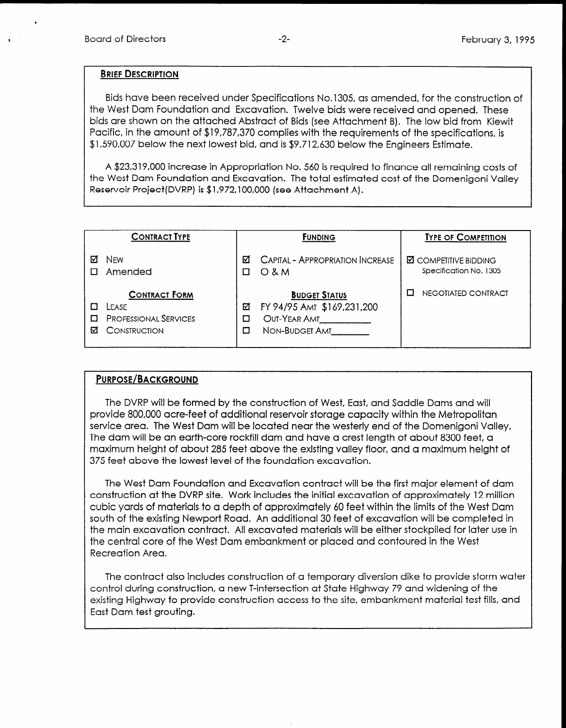.

#### BRIEF DESCRIPTION

Bids have been received under Specifications No.1 305, as amended, for the construction of the West Dam Foundation and Excavation. Twelve bids were received and opened. These bids are shown on the attached Abstract of Bids (see Attachment B). The low bid from Kiewit Pacific, in the amount of \$19,787,370 complies with the requirements of the specifications, is \$1,590,007 below the next lowest bid, and is \$9,712,630 below the Engineers Estimate.

A \$23,319,000 increase in Appropriation No. 560 is required to finance all remaining costs of the West Dam Foundation and Excavation. The total estimated cost of the Domenigoni Valley Reservoir Project(DVRP) is \$1,972,100,000 (see Attachment A).

|   | <b>CONTRACT TYPE</b>                                                          |        | <b>FUNDING</b>                                                                       | <b>TYPE OF COMPETITION</b>                             |
|---|-------------------------------------------------------------------------------|--------|--------------------------------------------------------------------------------------|--------------------------------------------------------|
|   | <b>NFW</b><br>Amended                                                         | М      | <b>CAPITAL - APPROPRIATION INCREASE</b><br>$O$ & M                                   | <b>M</b> COMPETITIVE BIDDING<br>Specification No. 1305 |
| М | <b>CONTRACT FORM</b><br>LEASE<br><b>PROFESSIONAL SERVICES</b><br>CONSTRUCTION | ⊠<br>п | <b>BUDGET STATUS</b><br>FY 94/95 AMT \$169,231,200<br>OUT-YEAR AMT<br>NON-BUDGET AMT | NEGOTIATED CONTRACT                                    |

### PURPOSE/BACKGROUND

The DVRP will be formed by the construction of West, East, and Saddle Dams and will provide 800,000 acre-feet of additional reservoir storage capacity within the Metropolitan service area. The West Dam will be located near the westerly end of the Domenigoni Valley. The dict and will be an earth-core rockfill dam and have a created by a core and the core about 8300 feet, about 8300 feet, and the core rock feet, about 8300 feet, about 8300 feet, about 8300 feet, about 8300 feet, about me dan will be all call foot footill agit and have a cluster gilt of about 2000 feet, a maximum height of about 285 feet above the existing valley floor, and a maximum height of<br>375 feet above the lowest level of the foundation excavation.

The West Dam Foundation and Excavation contract will be the first major element of dam The Yvest Dami footballon and Excavation conflict, will be the first major element of admi construction at the DVRP site. Work includes the initial excavation of approximately 12 million cubic yards of materials to a depth of approximately 60 feet within the limits of the West Dam south of the existing Newport Road. An additional 30 feet of excavation will be completed in the main excavation contract. All excavated materials will be either stockpiled for later use in the central core of the West Dam embankment or placed and contoured in the West<br>Recreation Area.

The contract also includes construction of a temporary diversion dike to provide storm water control during construction, a new T-intersection at State Highway 79 and widening of the existing Highway to provide construction access to the site, embankment material test fills, and East Dam test grouting.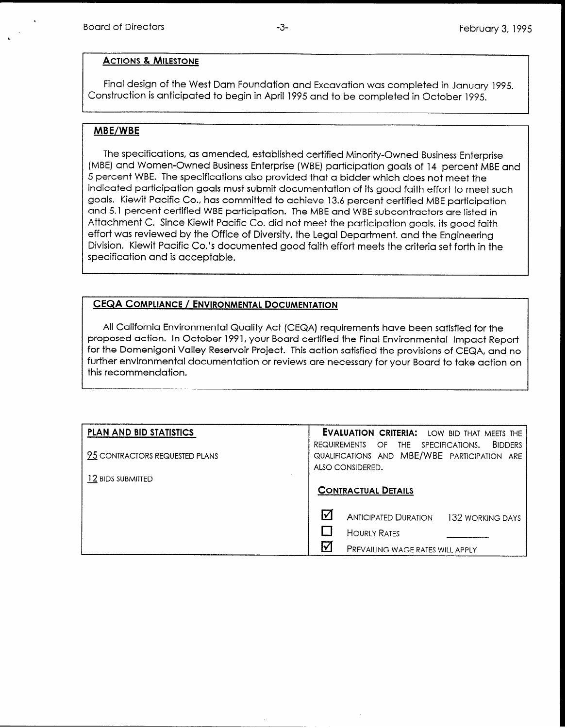### ACTIONS & MILESTONE

Final design of the West Dam Foundation and Excavation was completed in January 1995. Construction is anticipated to begin in April 1995 and to be completed in October 1995.

## MBE/WBE

The specifications, as amended, established certified Minority-Owned Business Enterprise (MBE) and Women-Owned Business Enterprise (WBE) participation goals of 14 percent MBE and 5 percent WBE. The specifications also provided that a bidder which does not meet the indicated participation goals must submit documentation of its good faith effort to meet such goals. Kiewit Pacific Co., has committed to achieve 13.6 percent certified MBE participation and 5.1 percent certified WBE participation. The MBE and WBE subcontractors are listed in Attachment C. Since Kiewit Pacific Co. did not meet the participation goals, its good faith effort was reviewed by the Office of Diversity, the Legal Department, and the Engineering Division. Kiewit Pacific Co.'s documented good faith effort meets the criteria set forth in the specification and is acceptable.

## CEQA COMPLIANCE / ENVIRONMENTAL DOCUMENTATION

All California Environmental Quality Act (CEQA) requirements have been satisfied for the proposed action. In October 1991, your Board certified the Final Environmental Impact Report for the Domenigoni Valley Reservoir Project. This action satisfied the provisions of CEQA, and no further environmental documentation or reviews are necessary for your Board to take action on this recommendation.

| <b>PLAN AND BID STATISTICS</b> | <b>EVALUATION CRITERIA:</b> LOW BID THAT MEETS THE       |
|--------------------------------|----------------------------------------------------------|
|                                | <b>BIDDERS</b><br>REQUIREMENTS OF<br>THE SPECIFICATIONS. |
| 95 CONTRACTORS REQUESTED PLANS | QUALIFICATIONS AND MBE/WBE PARTICIPATION ARE             |
|                                | ALSO CONSIDERED.                                         |
| 12 BIDS SUBMITTED              |                                                          |
|                                | <b>CONTRACTUAL DETAILS</b>                               |
|                                |                                                          |
|                                | ☑<br><b>ANTICIPATED DURATION</b><br>132 WORKING DAYS     |
|                                | <b>HOURLY RATES</b>                                      |
|                                | l۷<br>PREVAILING WAGE RATES WILL APPLY                   |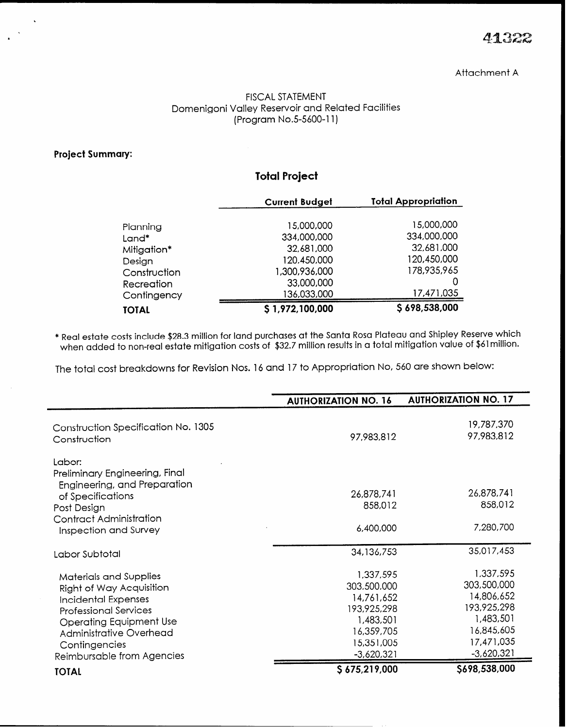#### FISCAL STATEMENT Domenigoni Valley Reservoir and Related Facilities (Program No.5-5600-11)

### Project Summary:

# Total Project

|              | <b>Current Budget</b> | <b>Total Appropriation</b> |
|--------------|-----------------------|----------------------------|
|              |                       | 15,000,000                 |
| Planning     | 15,000,000            |                            |
| Land*        | 334,000,000           | 334,000,000                |
| Mitigation*  | 32,681,000            | 32,681,000                 |
| Design       | 120,450,000           | 120,450,000                |
| Construction | 1,300,936,000         | 178,935,965                |
| Recreation   | 33,000,000            |                            |
| Contingency  | 136,033,000           | 17,471,035                 |
| TOTAL        | \$1,972,100,000       | \$698,538,000              |

\* Real estate costs include \$28.3 million for land purchases at the Santa Rosa Plateau and Shipley Reserve which when added to non-real estate mitigation costs of \$32.7 million results in a total mitigation value of \$61 million.

The total cost breakdowns for Revision Nos. 16 and 17 to Appropriation No, 560 are shown below:

|                                                                                                                                                                                                                              | <b>AUTHORIZATION NO. 16</b>                                                                                    | <b>AUTHORIZATION NO. 17</b>                                                                                    |
|------------------------------------------------------------------------------------------------------------------------------------------------------------------------------------------------------------------------------|----------------------------------------------------------------------------------------------------------------|----------------------------------------------------------------------------------------------------------------|
| Construction Specification No. 1305<br>Construction                                                                                                                                                                          | 97,983,812                                                                                                     | 19,787,370<br>97,983,812                                                                                       |
| Labor:<br>Preliminary Engineering, Final<br>Engineering, and Preparation                                                                                                                                                     |                                                                                                                |                                                                                                                |
| of Specifications                                                                                                                                                                                                            | 26,878,741                                                                                                     | 26,878,741                                                                                                     |
| Post Design                                                                                                                                                                                                                  | 858,012                                                                                                        | 858,012                                                                                                        |
| Contract Administration<br>Inspection and Survey                                                                                                                                                                             | 6,400,000                                                                                                      | 7,280,700                                                                                                      |
| Labor Subtotal                                                                                                                                                                                                               | 34,136,753                                                                                                     | 35,017,453                                                                                                     |
| Materials and Supplies<br>Right of Way Acquisition<br>Incidental Expenses<br><b>Professional Services</b><br><b>Operating Equipment Use</b><br><b>Administrative Overhead</b><br>Contingencies<br>Reimbursable from Agencies | 1,337,595<br>303,500,000<br>14,761,652<br>193,925,298<br>1,483,501<br>16,359,705<br>15,351,005<br>$-3,620,321$ | 1,337,595<br>303,500,000<br>14,806,652<br>193,925,298<br>1,483,501<br>16,845,605<br>17,471,035<br>$-3,620,321$ |
| <b>TOTAL</b>                                                                                                                                                                                                                 | \$675,219,000                                                                                                  | \$698,538,000                                                                                                  |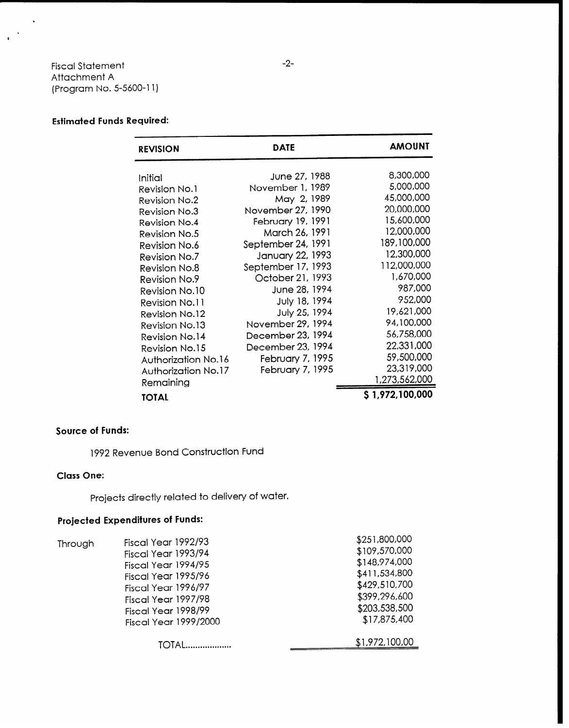## Fiscal Statement Attachment A (Program No. 5-5600-l 1)

 $\epsilon$ 

## Estimated Funds Required:

| <b>REVISION</b>                                                                                                                                                                                                                                                                           | <b>DATE</b>                                                                                                                                                                                                                                                                                   | <b>AMOUNT</b>                                                                                                                                                                                           |
|-------------------------------------------------------------------------------------------------------------------------------------------------------------------------------------------------------------------------------------------------------------------------------------------|-----------------------------------------------------------------------------------------------------------------------------------------------------------------------------------------------------------------------------------------------------------------------------------------------|---------------------------------------------------------------------------------------------------------------------------------------------------------------------------------------------------------|
| Initial<br>Revision No.1<br><b>Revision No.2</b><br>Revision No.3<br><b>Revision No.4</b><br>Revision No.5<br><b>Revision No.6</b><br><b>Revision No.7</b><br><b>Revision No.8</b><br><b>Revision No.9</b><br><b>Revision No.10</b><br>Revision No.11<br>Revision No.12<br>Revision No.13 | June 27, 1988<br>November 1, 1989<br>May 2, 1989<br>November 27, 1990<br>February 19, 1991<br>March 26, 1991<br>September 24, 1991<br>January 22, 1993<br>September 17, 1993<br>October 21, 1993<br>June 28, 1994<br>July 18, 1994<br>July 25, 1994<br>November 29, 1994<br>December 23, 1994 | 8,300,000<br>5,000,000<br>45,000,000<br>20,000,000<br>15,600,000<br>12,000,000<br>189,100,000<br>12,300,000<br>112,000,000<br>1,670,000<br>987,000<br>952,000<br>19,621,000<br>94,100,000<br>56,758,000 |
| Revision No.14<br><b>Revision No.15</b><br>Authorization No.16<br><b>Authorization No.17</b>                                                                                                                                                                                              | December 23, 1994<br>February 7, 1995<br>February 7, 1995                                                                                                                                                                                                                                     | 22,331,000<br>59,500,000<br>23,319,000<br>1,273,562,000                                                                                                                                                 |
| Remaining<br><b>TOTAL</b>                                                                                                                                                                                                                                                                 |                                                                                                                                                                                                                                                                                               | \$1,972,100,000                                                                                                                                                                                         |

## Source of Funds:

1992 Revenue Bond Construction Fund

## Class One:

Projects directly related to delivery of water.

## Projected Expenditures of Funds:

|         | Fiscal Year 1992/93          | \$251,800,000  |
|---------|------------------------------|----------------|
| Through |                              | \$109,570,000  |
|         | Fiscal Year 1993/94          |                |
|         | Fiscal Year 1994/95          | \$148,974,000  |
|         | Fiscal Year 1995/96          | \$411,534,800  |
|         | Fiscal Year 1996/97          | \$429,510,700  |
|         | Fiscal Year 1997/98          | \$399,296,600  |
|         | Fiscal Year 1998/99          | \$203,538,500  |
|         | <b>Fiscal Year 1999/2000</b> | \$17,875,400   |
|         |                              | \$1,972,100,00 |
|         |                              |                |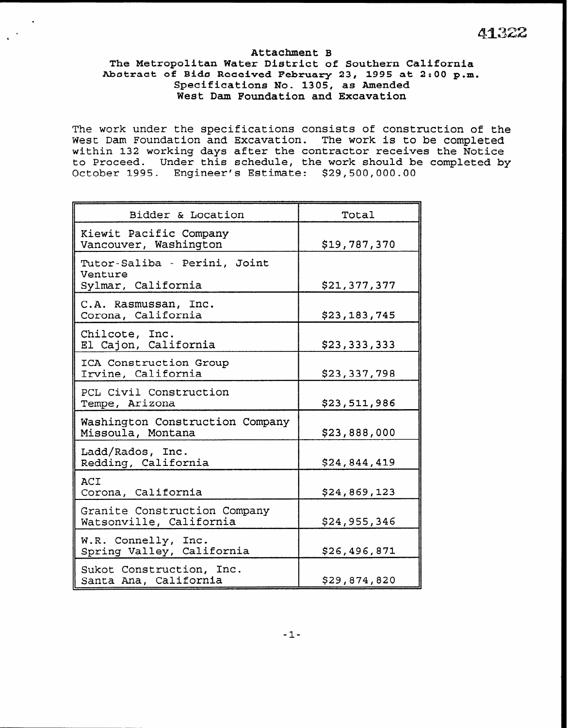# .  $4132$

#### Attachment B The Metropolitan Water District of Southern California Abstract of Bids Received February 23, 1995 at 2:00 p.m. Specifications No. 1305, as Amended West Dam Foundation and Excavation

.

The work under the specifications consists of construction of the West Dam Foundation and Excavation. The work is to be completed within 132 working days after the contractor receives the Notice to Proceed. Under this schedule, the work should be completed by October 1995. Engineer's Estimate: \$29,500,000.00

| Bidder & Location                                             | Total        |
|---------------------------------------------------------------|--------------|
| Kiewit Pacific Company<br>Vancouver, Washington               | \$19,787,370 |
| Tutor-Saliba - Perini, Joint<br>Venture<br>Sylmar, California | \$21,377,377 |
| C.A. Rasmussan, Inc.<br>Corona, California                    | \$23,183,745 |
| Chilcote, Inc.<br>El Cajon, California                        | \$23,333,333 |
| ICA Construction Group<br>Irvine, California                  | \$23,337,798 |
| PCL Civil Construction<br>Tempe, Arizona                      | \$23,511,986 |
| Washington Construction Company<br>Missoula, Montana          | \$23,888,000 |
| Ladd/Rados, Inc.<br>Redding, California                       | \$24,844,419 |
| ACI<br>Corona, California                                     | \$24,869,123 |
| Granite Construction Company<br>Watsonville, California       | \$24,955,346 |
| W.R. Connelly, Inc.<br>Spring Valley, California              | \$26,496,871 |
| Sukot Construction, Inc.<br>Santa Ana, California             | \$29,874,820 |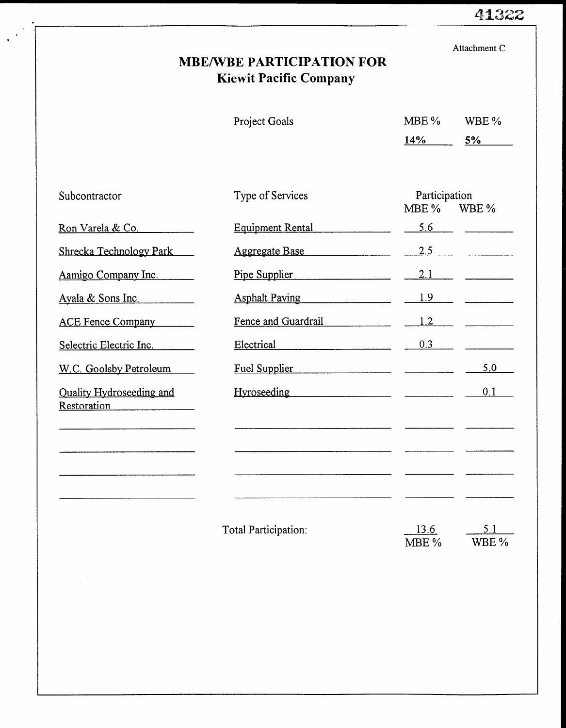# 41322

|                                                       | <b>MBE/WBE PARTICIPATION FOR</b><br><b>Kiewit Pacific Company</b> |                          | Attachment C |
|-------------------------------------------------------|-------------------------------------------------------------------|--------------------------|--------------|
|                                                       | Project Goals                                                     | MBE %<br>14%             | WBE %<br>5%  |
| Subcontractor                                         | Type of Services                                                  | Participation<br>$MBE\%$ | WBE %        |
| Ron Varela & Co.                                      | <b>Equipment Rental</b>                                           | 5.6                      |              |
| Shrecka Technology Park                               | <b>Aggregate Base</b>                                             | 2.5                      |              |
| Aamigo Company Inc.                                   | Pipe Supplier                                                     | 2.1                      |              |
| Ayala & Sons Inc.                                     | <b>Asphalt Paving</b>                                             | 1.9                      |              |
| ACE Fence Company                                     | Fence and Guardrail                                               | 1.2                      |              |
| Selectric Electric Inc.                               | Electrical                                                        | 0.3                      |              |
| W.C. Goolsby Petroleum                                | Fuel Supplier                                                     |                          | 5.0          |
| <b>Quality Hydroseeding and</b><br><b>Restoration</b> |                                                                   |                          | 0.1          |
|                                                       |                                                                   |                          |              |
|                                                       |                                                                   |                          |              |
|                                                       |                                                                   |                          |              |
|                                                       | Total Participation:                                              | 13.6<br>MBE %            | 5.1<br>WBE % |
|                                                       |                                                                   |                          |              |
|                                                       |                                                                   |                          |              |
|                                                       |                                                                   |                          |              |
|                                                       |                                                                   |                          |              |

 $\bullet$